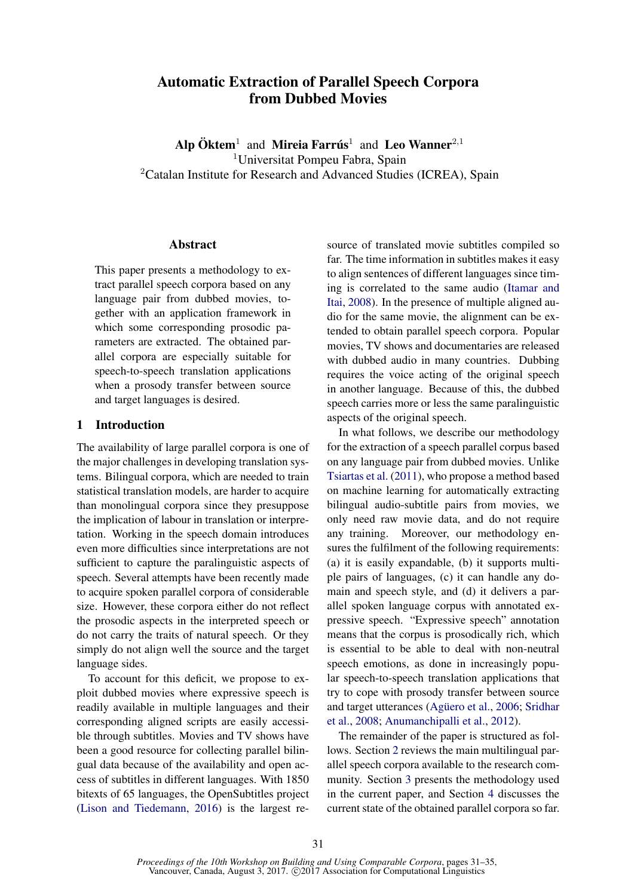# Automatic Extraction of Parallel Speech Corpora from Dubbed Movies

Alp  $\ddot{\textbf{O}}$ ktem<sup>1</sup> and Mireia Farrús<sup>1</sup> and Leo Wanner<sup>2,1</sup> <sup>1</sup>Universitat Pompeu Fabra, Spain <sup>2</sup>Catalan Institute for Research and Advanced Studies (ICREA), Spain

#### Abstract

This paper presents a methodology to extract parallel speech corpora based on any language pair from dubbed movies, together with an application framework in which some corresponding prosodic parameters are extracted. The obtained parallel corpora are especially suitable for speech-to-speech translation applications when a prosody transfer between source and target languages is desired.

## 1 Introduction

The availability of large parallel corpora is one of the major challenges in developing translation systems. Bilingual corpora, which are needed to train statistical translation models, are harder to acquire than monolingual corpora since they presuppose the implication of labour in translation or interpretation. Working in the speech domain introduces even more difficulties since interpretations are not sufficient to capture the paralinguistic aspects of speech. Several attempts have been recently made to acquire spoken parallel corpora of considerable size. However, these corpora either do not reflect the prosodic aspects in the interpreted speech or do not carry the traits of natural speech. Or they simply do not align well the source and the target language sides.

To account for this deficit, we propose to exploit dubbed movies where expressive speech is readily available in multiple languages and their corresponding aligned scripts are easily accessible through subtitles. Movies and TV shows have been a good resource for collecting parallel bilingual data because of the availability and open access of subtitles in different languages. With 1850 bitexts of 65 languages, the OpenSubtitles project (Lison and Tiedemann, 2016) is the largest resource of translated movie subtitles compiled so far. The time information in subtitles makes it easy to align sentences of different languages since timing is correlated to the same audio (Itamar and Itai, 2008). In the presence of multiple aligned audio for the same movie, the alignment can be extended to obtain parallel speech corpora. Popular movies, TV shows and documentaries are released with dubbed audio in many countries. Dubbing requires the voice acting of the original speech in another language. Because of this, the dubbed speech carries more or less the same paralinguistic aspects of the original speech.

In what follows, we describe our methodology for the extraction of a speech parallel corpus based on any language pair from dubbed movies. Unlike Tsiartas et al. (2011), who propose a method based on machine learning for automatically extracting bilingual audio-subtitle pairs from movies, we only need raw movie data, and do not require any training. Moreover, our methodology ensures the fulfilment of the following requirements: (a) it is easily expandable, (b) it supports multiple pairs of languages, (c) it can handle any domain and speech style, and (d) it delivers a parallel spoken language corpus with annotated expressive speech. "Expressive speech" annotation means that the corpus is prosodically rich, which is essential to be able to deal with non-neutral speech emotions, as done in increasingly popular speech-to-speech translation applications that try to cope with prosody transfer between source and target utterances (Agüero et al., 2006; Sridhar et al., 2008; Anumanchipalli et al., 2012).

The remainder of the paper is structured as follows. Section 2 reviews the main multilingual parallel speech corpora available to the research community. Section 3 presents the methodology used in the current paper, and Section 4 discusses the current state of the obtained parallel corpora so far.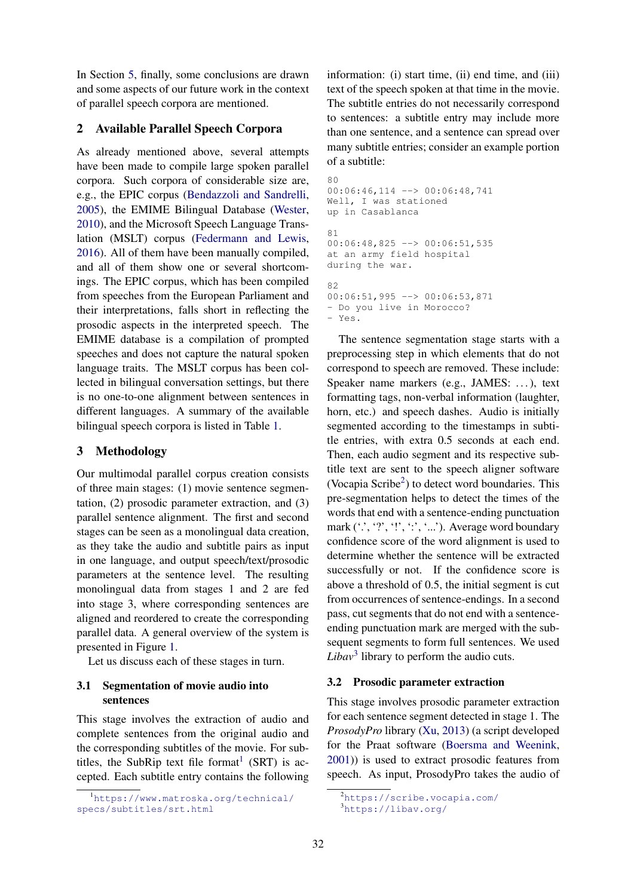In Section 5, finally, some conclusions are drawn and some aspects of our future work in the context of parallel speech corpora are mentioned.

## 2 Available Parallel Speech Corpora

As already mentioned above, several attempts have been made to compile large spoken parallel corpora. Such corpora of considerable size are, e.g., the EPIC corpus (Bendazzoli and Sandrelli, 2005), the EMIME Bilingual Database (Wester, 2010), and the Microsoft Speech Language Translation (MSLT) corpus (Federmann and Lewis, 2016). All of them have been manually compiled, and all of them show one or several shortcomings. The EPIC corpus, which has been compiled from speeches from the European Parliament and their interpretations, falls short in reflecting the prosodic aspects in the interpreted speech. The EMIME database is a compilation of prompted speeches and does not capture the natural spoken language traits. The MSLT corpus has been collected in bilingual conversation settings, but there is no one-to-one alignment between sentences in different languages. A summary of the available bilingual speech corpora is listed in Table 1.

## 3 Methodology

Our multimodal parallel corpus creation consists of three main stages: (1) movie sentence segmentation, (2) prosodic parameter extraction, and (3) parallel sentence alignment. The first and second stages can be seen as a monolingual data creation, as they take the audio and subtitle pairs as input in one language, and output speech/text/prosodic parameters at the sentence level. The resulting monolingual data from stages 1 and 2 are fed into stage 3, where corresponding sentences are aligned and reordered to create the corresponding parallel data. A general overview of the system is presented in Figure 1.

Let us discuss each of these stages in turn.

## 3.1 Segmentation of movie audio into sentences

This stage involves the extraction of audio and complete sentences from the original audio and the corresponding subtitles of the movie. For subtitles, the SubRip text file format<sup>1</sup> (SRT) is accepted. Each subtitle entry contains the following

information: (i) start time, (ii) end time, and (iii) text of the speech spoken at that time in the movie. The subtitle entries do not necessarily correspond to sentences: a subtitle entry may include more than one sentence, and a sentence can spread over many subtitle entries; consider an example portion of a subtitle:

```
8000:06:46,114 --> 00:06:48,741
Well, I was stationed
up in Casablanca
81
00:06:48,825 --> 00:06:51,535at an army field hospital
during the war.
82
00:06:51,995 --> 00:06:53,871- Do you live in Morocco?
- Yes.
```
The sentence segmentation stage starts with a preprocessing step in which elements that do not correspond to speech are removed. These include: Speaker name markers (e.g., JAMES: . . . ), text formatting tags, non-verbal information (laughter, horn, etc.) and speech dashes. Audio is initially segmented according to the timestamps in subtitle entries, with extra 0.5 seconds at each end. Then, each audio segment and its respective subtitle text are sent to the speech aligner software (Vocapia Scribe<sup>2</sup>) to detect word boundaries. This pre-segmentation helps to detect the times of the words that end with a sentence-ending punctuation mark ("., "?", ".", "..."). Average word boundary confidence score of the word alignment is used to determine whether the sentence will be extracted successfully or not. If the confidence score is above a threshold of 0.5, the initial segment is cut from occurrences of sentence-endings. In a second pass, cut segments that do not end with a sentenceending punctuation mark are merged with the subsequent segments to form full sentences. We used  $Libav<sup>3</sup>$  library to perform the audio cuts.

## 3.2 Prosodic parameter extraction

This stage involves prosodic parameter extraction for each sentence segment detected in stage 1. The *ProsodyPro* library (Xu, 2013) (a script developed for the Praat software (Boersma and Weenink, 2001)) is used to extract prosodic features from speech. As input, ProsodyPro takes the audio of

<sup>1</sup>https://www.matroska.org/technical/ specs/subtitles/srt.html

<sup>2</sup>https://scribe.vocapia.com/

<sup>3</sup>https://libav.org/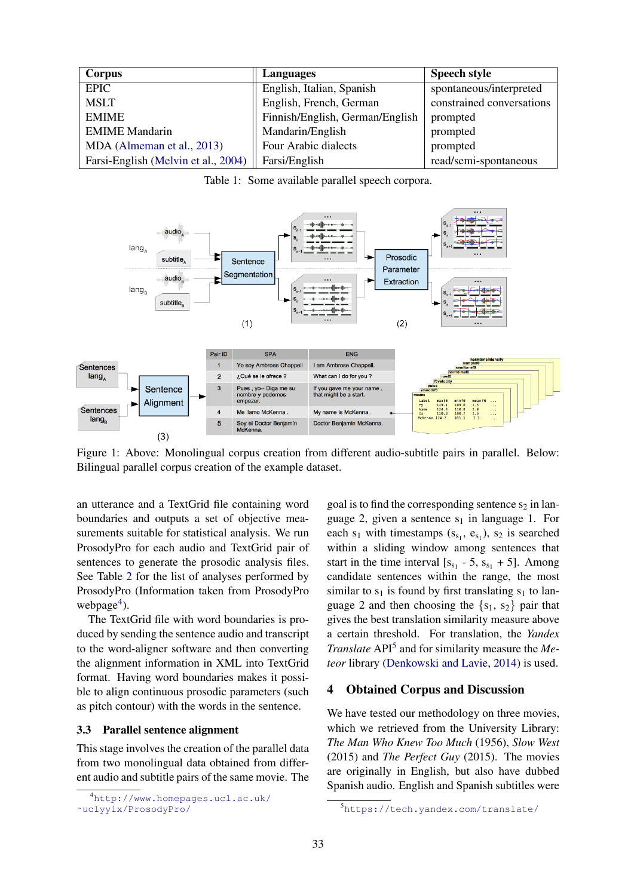| Corpus                              | Languages                       | <b>Speech style</b>       |
|-------------------------------------|---------------------------------|---------------------------|
| <b>EPIC</b>                         | English, Italian, Spanish       | spontaneous/interpreted   |
| <b>MSLT</b>                         | English, French, German         | constrained conversations |
| <b>EMIME</b>                        | Finnish/English, German/English | prompted                  |
| <b>EMIME</b> Mandarin               | Mandarin/English                | prompted                  |
| MDA (Almeman et al., 2013)          | Four Arabic dialects            | prompted                  |
| Farsi-English (Melvin et al., 2004) | Farsi/English                   | read/semi-spontaneous     |

Table 1: Some available parallel speech corpora.



Figure 1: Above: Monolingual corpus creation from different audio-subtitle pairs in parallel. Below: Bilingual parallel corpus creation of the example dataset.

an utterance and a TextGrid file containing word boundaries and outputs a set of objective measurements suitable for statistical analysis. We run ProsodyPro for each audio and TextGrid pair of sentences to generate the prosodic analysis files. See Table 2 for the list of analyses performed by ProsodyPro (Information taken from ProsodyPro webpage<sup>4</sup>).

The TextGrid file with word boundaries is produced by sending the sentence audio and transcript to the word-aligner software and then converting the alignment information in XML into TextGrid format. Having word boundaries makes it possible to align continuous prosodic parameters (such as pitch contour) with the words in the sentence.

#### 3.3 Parallel sentence alignment

This stage involves the creation of the parallel data from two monolingual data obtained from different audio and subtitle pairs of the same movie. The

goal is to find the corresponding sentence  $s_2$  in language 2, given a sentence  $s_1$  in language 1. For each  $s_1$  with timestamps  $(s_{s_1}, e_{s_1})$ ,  $s_2$  is searched within a sliding window among sentences that start in the time interval  $[s_{s_1} - 5, s_{s_1} + 5]$ . Among candidate sentences within the range, the most similar to  $s_1$  is found by first translating  $s_1$  to language 2 and then choosing the  $\{s_1, s_2\}$  pair that gives the best translation similarity measure above a certain threshold. For translation, the *Yandex Translate* API<sup>5</sup> and for similarity measure the *Meteor* library (Denkowski and Lavie, 2014) is used.

#### 4 Obtained Corpus and Discussion

We have tested our methodology on three movies, which we retrieved from the University Library: *The Man Who Knew Too Much* (1956), *Slow West* (2015) and *The Perfect Guy* (2015). The movies are originally in English, but also have dubbed Spanish audio. English and Spanish subtitles were

<sup>4</sup>http://www.homepages.ucl.ac.uk/ ˜uclyyix/ProsodyPro/

<sup>5</sup>https://tech.yandex.com/translate/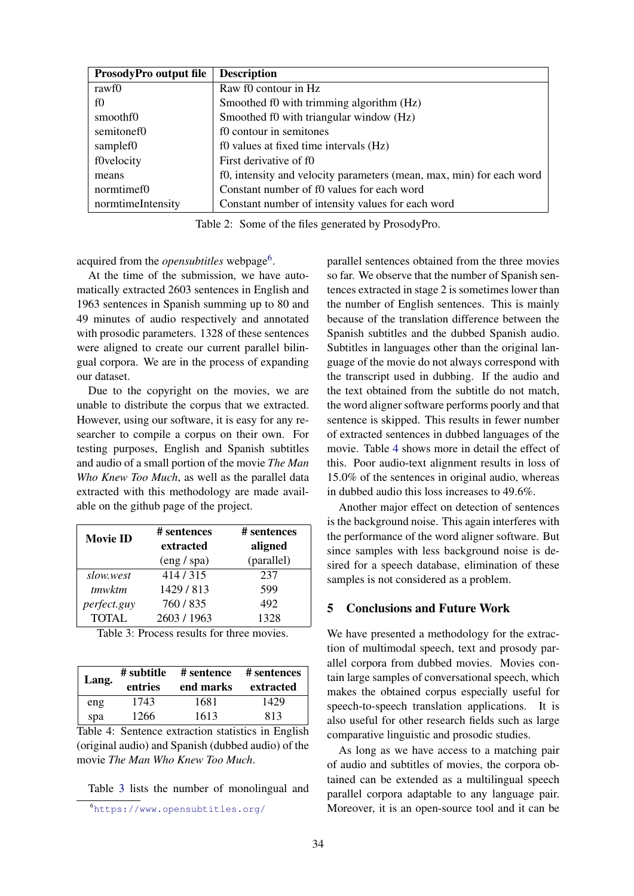| <b>ProsodyPro output file</b> | <b>Description</b>                                                   |
|-------------------------------|----------------------------------------------------------------------|
| rawf0                         | Raw f0 contour in Hz                                                 |
| f()                           | Smoothed f0 with trimming algorithm (Hz)                             |
| smooth fo                     | Smoothed f0 with triangular window (Hz)                              |
| semitonef0                    | f0 contour in semitones                                              |
| samplef0                      | f0 values at fixed time intervals (Hz)                               |
| f0velocity                    | First derivative of f0                                               |
| means                         | f0, intensity and velocity parameters (mean, max, min) for each word |
| normtimef0                    | Constant number of f0 values for each word                           |
| normtimeIntensity             | Constant number of intensity values for each word                    |

Table 2: Some of the files generated by ProsodyPro.

acquired from the *opensubtitles* webpage<sup>6</sup>.

At the time of the submission, we have automatically extracted 2603 sentences in English and 1963 sentences in Spanish summing up to 80 and 49 minutes of audio respectively and annotated with prosodic parameters. 1328 of these sentences were aligned to create our current parallel bilingual corpora. We are in the process of expanding our dataset.

Due to the copyright on the movies, we are unable to distribute the corpus that we extracted. However, using our software, it is easy for any researcher to compile a corpus on their own. For testing purposes, English and Spanish subtitles and audio of a small portion of the movie *The Man Who Knew Too Much*, as well as the parallel data extracted with this methodology are made available on the github page of the project.

| <b>Movie ID</b> | # sentences | # sentences |
|-----------------|-------------|-------------|
|                 | extracted   | aligned     |
|                 | (eng / spa) | (parallel)  |
| slow.west       | 414/315     | 237         |
| tmwktm          | 1429/813    | 599         |
| perfect.guy     | 760/835     | 492         |
| <b>TOTAL</b>    | 2603 / 1963 | 1328        |

| Table 3: Process results for three movies. |
|--------------------------------------------|
|--------------------------------------------|

| Lang. | # subtitle<br>entries | # sentence<br>end marks | # sentences<br>extracted |
|-------|-----------------------|-------------------------|--------------------------|
| eng   | 1743                  | 1681                    | 1429                     |
| spa   | 1266                  | 1613                    | 813                      |

Table 4: Sentence extraction statistics in English (original audio) and Spanish (dubbed audio) of the movie *The Man Who Knew Too Much*.

Table 3 lists the number of monolingual and

parallel sentences obtained from the three movies so far. We observe that the number of Spanish sentences extracted in stage 2 is sometimes lower than the number of English sentences. This is mainly because of the translation difference between the Spanish subtitles and the dubbed Spanish audio. Subtitles in languages other than the original language of the movie do not always correspond with the transcript used in dubbing. If the audio and the text obtained from the subtitle do not match, the word aligner software performs poorly and that sentence is skipped. This results in fewer number of extracted sentences in dubbed languages of the movie. Table 4 shows more in detail the effect of this. Poor audio-text alignment results in loss of 15.0% of the sentences in original audio, whereas in dubbed audio this loss increases to 49.6%.

Another major effect on detection of sentences is the background noise. This again interferes with the performance of the word aligner software. But since samples with less background noise is desired for a speech database, elimination of these samples is not considered as a problem.

#### 5 Conclusions and Future Work

We have presented a methodology for the extraction of multimodal speech, text and prosody parallel corpora from dubbed movies. Movies contain large samples of conversational speech, which makes the obtained corpus especially useful for speech-to-speech translation applications. It is also useful for other research fields such as large comparative linguistic and prosodic studies.

As long as we have access to a matching pair of audio and subtitles of movies, the corpora obtained can be extended as a multilingual speech parallel corpora adaptable to any language pair. Moreover, it is an open-source tool and it can be

<sup>6</sup>https://www.opensubtitles.org/